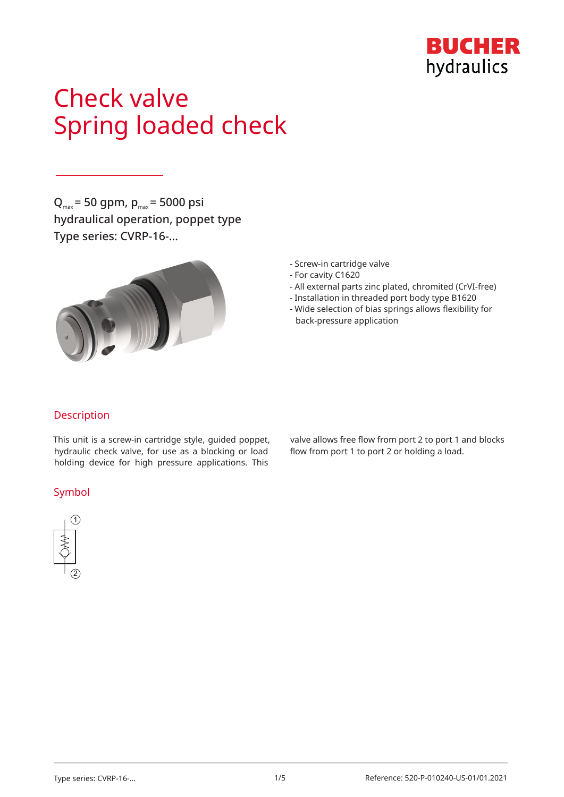

# Check valve Spring loaded check

 $Q_{\text{max}}$  = 50 gpm,  $p_{\text{max}}$  = 5000 psi hydraulical operation, poppet type Type series: CVRP-16-…



- Screw-in cartridge valve
- For cavity C1620
- All external parts zinc plated, chromited (CrVI-free)
- Installation in threaded port body type B1620
- Wide selection of bias springs allows flexibility for back-pressure application

## Description

This unit is a screw-in cartridge style, guided poppet, hydraulic check valve, for use as a blocking or load holding device for high pressure applications. This

## Symbol



valve allows free flow from port 2 to port 1 and blocks flow from port 1 to port 2 or holding a load.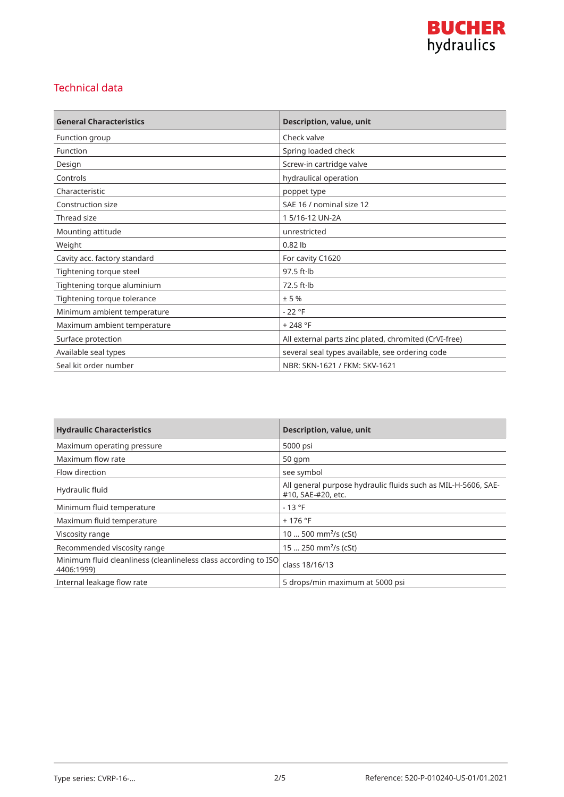

# Technical data

| <b>General Characteristics</b> | Description, value, unit                              |
|--------------------------------|-------------------------------------------------------|
| Function group                 | Check valve                                           |
| Function                       | Spring loaded check                                   |
| Design                         | Screw-in cartridge valve                              |
| Controls                       | hydraulical operation                                 |
| Characteristic                 | poppet type                                           |
| Construction size              | SAE 16 / nominal size 12                              |
| Thread size                    | 1 5/16-12 UN-2A                                       |
| Mounting attitude              | unrestricted                                          |
| Weight                         | $0.82$ lb                                             |
| Cavity acc. factory standard   | For cavity C1620                                      |
| Tightening torque steel        | $97.5$ ft $\cdot$ lb                                  |
| Tightening torque aluminium    | $72.5$ ft $\cdot$ lb                                  |
| Tightening torque tolerance    | ± 5%                                                  |
| Minimum ambient temperature    | $-22$ °F                                              |
| Maximum ambient temperature    | $+248 °F$                                             |
| Surface protection             | All external parts zinc plated, chromited (CrVI-free) |
| Available seal types           | several seal types available, see ordering code       |
| Seal kit order number          | NBR: SKN-1621 / FKM: SKV-1621                         |

| <b>Hydraulic Characteristics</b>                                              | <b>Description, value, unit</b>                                                     |
|-------------------------------------------------------------------------------|-------------------------------------------------------------------------------------|
| Maximum operating pressure                                                    | 5000 psi                                                                            |
| Maximum flow rate                                                             | $50$ qpm                                                                            |
| Flow direction                                                                | see symbol                                                                          |
| Hydraulic fluid                                                               | All general purpose hydraulic fluids such as MIL-H-5606, SAE-<br>#10, SAE-#20, etc. |
| Minimum fluid temperature                                                     | $-13 °F$                                                                            |
| Maximum fluid temperature                                                     | $+176$ °F                                                                           |
| Viscosity range                                                               | 10  500 mm <sup>2</sup> /s (cSt)                                                    |
| Recommended viscosity range                                                   | 15  250 mm <sup>2</sup> /s (cSt)                                                    |
| Minimum fluid cleanliness (cleanlineless class according to ISO<br>4406:1999) | class 18/16/13                                                                      |
| Internal leakage flow rate                                                    | 5 drops/min maximum at 5000 psi                                                     |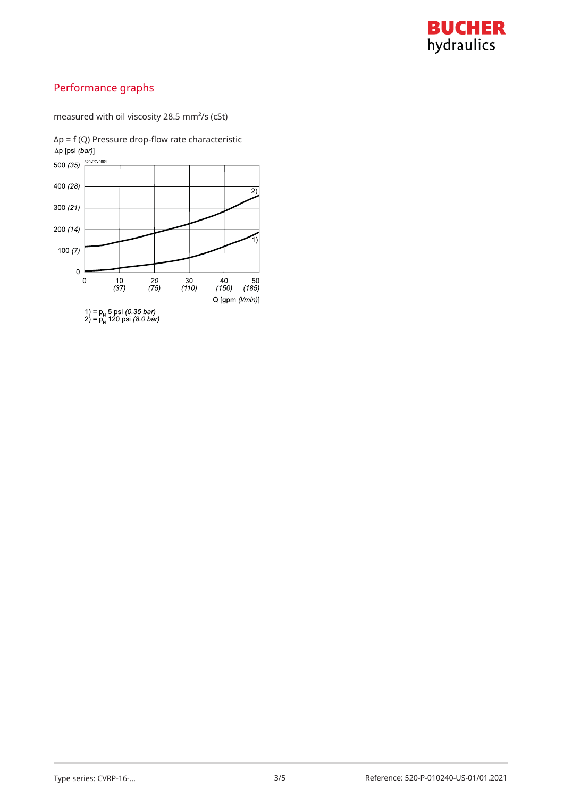

# Performance graphs

measured with oil viscosity 28.5 mm²/s (cSt)



 $Δp = f (Q)$  Pressure drop-flow rate characteristic  $Δp [psi (bar)]$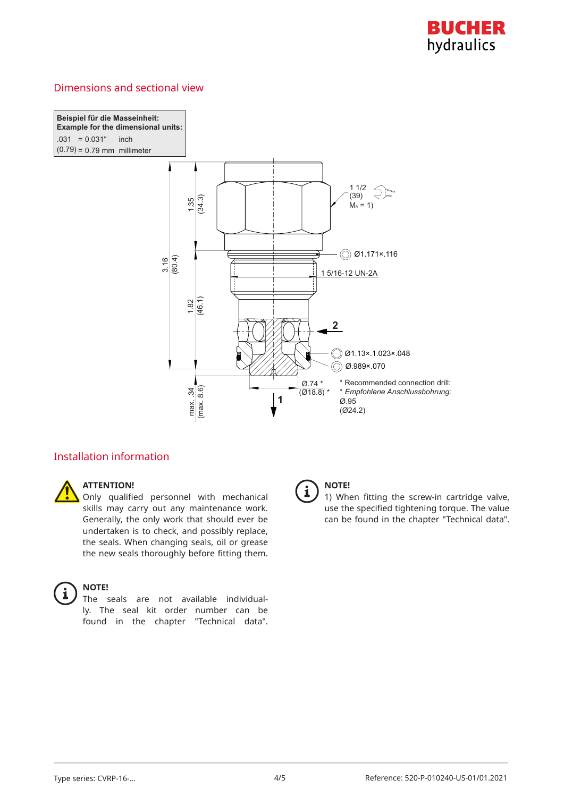

## Dimensions and sectional view

**Beispiel für die Masseinheit: Example for the dimensional units:**  $.031 = 0.031"$  inch I  $(0.79) = 0.79$  mm millimeter



# Installation information



#### **ATTENTION!**

Only qualified personnel with mechanical skills may carry out any maintenance work. Generally, the only work that should ever be undertaken is to check, and possibly replace, the seals. When changing seals, oil or grease the new seals thoroughly before fitting them.



#### **NOTE!**

The seals are not available individually. The seal kit order number can be found in the chapter "Technical data".



## **NOTE!**

1) When fitting the screw-in cartridge valve, use the specified tightening torque. The value can be found in the chapter "Technical data".